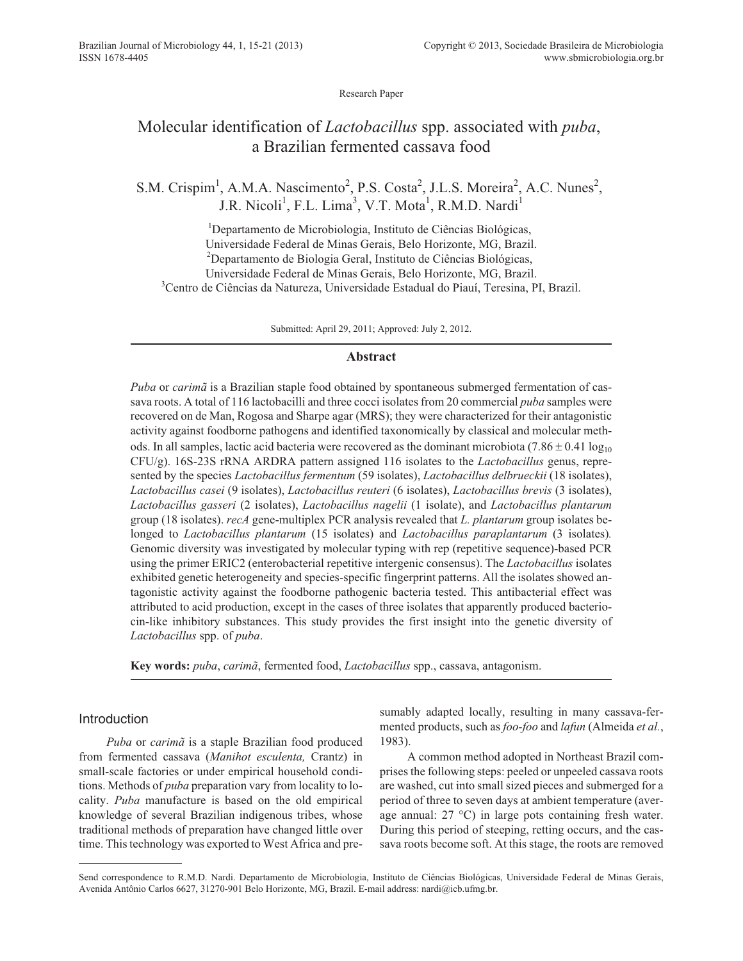Research Paper

# Molecular identification of *Lactobacillus* spp. associated with *puba*, a Brazilian fermented cassava food

S.M. Crispim<sup>1</sup>, A.M.A. Nascimento<sup>2</sup>, P.S. Costa<sup>2</sup>, J.L.S. Moreira<sup>2</sup>, A.C. Nunes<sup>2</sup>, J.R. Nicoli<sup>1</sup>, F.L. Lima<sup>3</sup>, V.T. Mota<sup>1</sup>, R.M.D. Nardi<sup>1</sup>

<sup>1</sup>Departamento de Microbiologia, Instituto de Ciências Biológicas, Universidade Federal de Minas Gerais, Belo Horizonte, MG, Brazil. <sup>2</sup>Departamento de Biologia Geral, Instituto de Ciências Biológicas, Universidade Federal de Minas Gerais, Belo Horizonte, MG, Brazil. <sup>3</sup>Centro de Ciências da Natureza, Universidade Estadual do Piauí, Teresina, PI, Brazil.

Submitted: April 29, 2011; Approved: July 2, 2012.

#### **Abstract**

*Puba* or *carimã* is a Brazilian staple food obtained by spontaneous submerged fermentation of cassava roots. A total of 116 lactobacilli and three cocci isolates from 20 commercial *puba* samples were recovered on de Man, Rogosa and Sharpe agar (MRS); they were characterized for their antagonistic activity against foodborne pathogens and identified taxonomically by classical and molecular methods. In all samples, lactic acid bacteria were recovered as the dominant microbiota  $(7.86 \pm 0.41 \log_{10} \frac{1}{2}$ CFU/g). 16S-23S rRNA ARDRA pattern assigned 116 isolates to the *Lactobacillus* genus, represented by the species *Lactobacillus fermentum* (59 isolates), *Lactobacillus delbrueckii* (18 isolates), *Lactobacillus casei* (9 isolates), *Lactobacillus reuteri* (6 isolates), *Lactobacillus brevis* (3 isolates), *Lactobacillus gasseri* (2 isolates), *Lactobacillus nagelii* (1 isolate), and *Lactobacillus plantarum* group (18 isolates). *recA* gene-multiplex PCR analysis revealed that *L. plantarum* group isolates belonged to *Lactobacillus plantarum* (15 isolates) and *Lactobacillus paraplantarum* (3 isolates)*.* Genomic diversity was investigated by molecular typing with rep (repetitive sequence)-based PCR using the primer ERIC2 (enterobacterial repetitive intergenic consensus). The *Lactobacillus* isolates exhibited genetic heterogeneity and species-specific fingerprint patterns. All the isolates showed antagonistic activity against the foodborne pathogenic bacteria tested. This antibacterial effect was attributed to acid production, except in the cases of three isolates that apparently produced bacteriocin-like inhibitory substances. This study provides the first insight into the genetic diversity of *Lactobacillus* spp. of *puba*.

**Key words:** *puba*, *carimã*, fermented food, *Lactobacillus* spp., cassava, antagonism.

# Introduction

*Puba* or *carimã* is a staple Brazilian food produced from fermented cassava (*Manihot esculenta,* Crantz) in small-scale factories or under empirical household conditions. Methods of *puba* preparation vary from locality to locality. *Puba* manufacture is based on the old empirical knowledge of several Brazilian indigenous tribes, whose traditional methods of preparation have changed little over time. This technology was exported to West Africa and presumably adapted locally, resulting in many cassava-fermented products, such as *foo-foo* and *lafun* (Almeida *et al.*, 1983).

A common method adopted in Northeast Brazil comprises the following steps: peeled or unpeeled cassava roots are washed, cut into small sized pieces and submerged for a period of three to seven days at ambient temperature (average annual: 27 °C) in large pots containing fresh water. During this period of steeping, retting occurs, and the cassava roots become soft. At this stage, the roots are removed

Send correspondence to R.M.D. Nardi. Departamento de Microbiologia, Instituto de Ciências Biológicas, Universidade Federal de Minas Gerais, Avenida Antônio Carlos 6627, 31270-901 Belo Horizonte, MG, Brazil. E-mail address: nardi@icb.ufmg.br.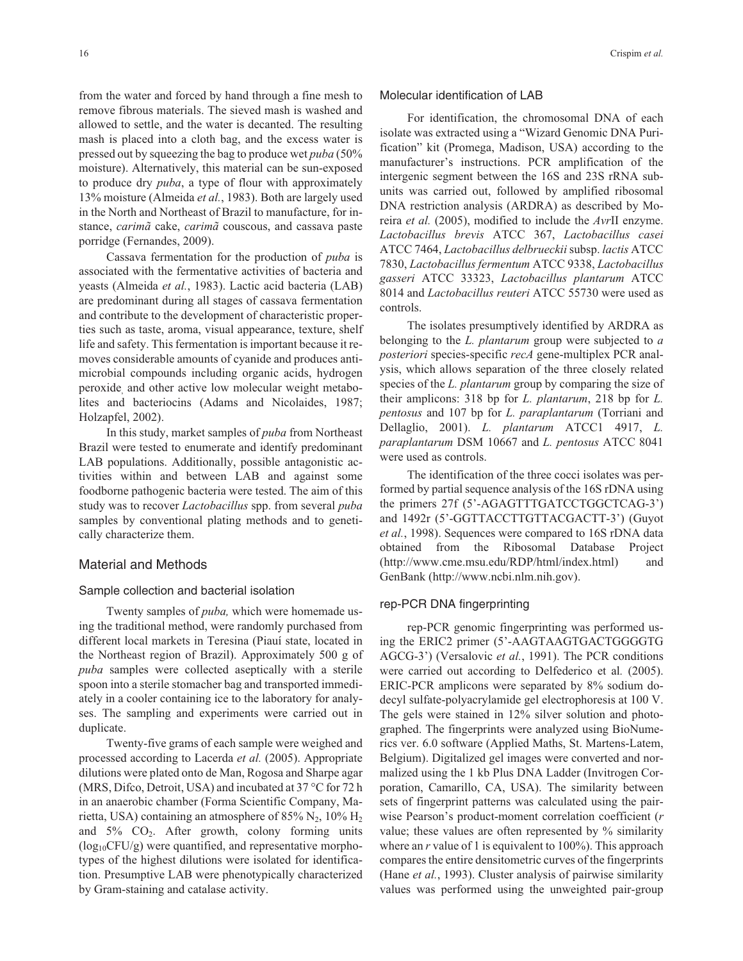from the water and forced by hand through a fine mesh to remove fibrous materials. The sieved mash is washed and allowed to settle, and the water is decanted. The resulting mash is placed into a cloth bag, and the excess water is pressed out by squeezing the bag to produce wet *puba* (50% moisture). Alternatively, this material can be sun-exposed to produce dry *puba*, a type of flour with approximately 13% moisture (Almeida *et al.*, 1983). Both are largely used in the North and Northeast of Brazil to manufacture, for instance, *carimã* cake, *carimã* couscous, and cassava paste porridge (Fernandes, 2009).

Cassava fermentation for the production of *puba* is associated with the fermentative activities of bacteria and yeasts (Almeida *et al.*, 1983). Lactic acid bacteria (LAB) are predominant during all stages of cassava fermentation and contribute to the development of characteristic properties such as taste, aroma, visual appearance, texture, shelf life and safety. This fermentation is important because it removes considerable amounts of cyanide and produces antimicrobial compounds including organic acids, hydrogen peroxide, and other active low molecular weight metabolites and bacteriocins (Adams and Nicolaides, 1987; Holzapfel, 2002).

In this study, market samples of *puba* from Northeast Brazil were tested to enumerate and identify predominant LAB populations. Additionally, possible antagonistic activities within and between LAB and against some foodborne pathogenic bacteria were tested. The aim of this study was to recover *Lactobacillus* spp. from several *puba* samples by conventional plating methods and to genetically characterize them.

#### Material and Methods

#### Sample collection and bacterial isolation

Twenty samples of *puba,* which were homemade using the traditional method, were randomly purchased from different local markets in Teresina (Piauí state, located in the Northeast region of Brazil). Approximately 500 g of *puba* samples were collected aseptically with a sterile spoon into a sterile stomacher bag and transported immediately in a cooler containing ice to the laboratory for analyses. The sampling and experiments were carried out in duplicate.

Twenty-five grams of each sample were weighed and processed according to Lacerda *et al.* (2005). Appropriate dilutions were plated onto de Man, Rogosa and Sharpe agar (MRS, Difco, Detroit, USA) and incubated at 37 °C for 72 h in an anaerobic chamber (Forma Scientific Company, Marietta, USA) containing an atmosphere of 85%  $N_2$ , 10%  $H_2$ and  $5\%$   $CO_2$ . After growth, colony forming units  $(log_{10}CFU/g)$  were quantified, and representative morphotypes of the highest dilutions were isolated for identification. Presumptive LAB were phenotypically characterized by Gram-staining and catalase activity.

#### Molecular identification of LAB

For identification, the chromosomal DNA of each isolate was extracted using a "Wizard Genomic DNA Purification" kit (Promega, Madison, USA) according to the manufacturer's instructions. PCR amplification of the intergenic segment between the 16S and 23S rRNA subunits was carried out, followed by amplified ribosomal DNA restriction analysis (ARDRA) as described by Moreira *et al.* (2005), modified to include the *Avr*II enzyme. *Lactobacillus brevis* ATCC 367, *Lactobacillus casei* ATCC 7464, *Lactobacillus delbrueckii*subsp. *lactis* ATCC 7830, *Lactobacillus fermentum* ATCC 9338, *Lactobacillus gasseri* ATCC 33323, *Lactobacillus plantarum* ATCC 8014 and *Lactobacillus reuteri* ATCC 55730 were used as controls.

The isolates presumptively identified by ARDRA as belonging to the *L. plantarum* group were subjected to *a posteriori* species-specific *recA* gene-multiplex PCR analysis, which allows separation of the three closely related species of the *L. plantarum* group by comparing the size of their amplicons: 318 bp for *L. plantarum*, 218 bp for *L. pentosus* and 107 bp for *L. paraplantarum* (Torriani and Dellaglio, 2001). *L. plantarum* ATCC1 4917, *L. paraplantarum* DSM 10667 and *L. pentosus* ATCC 8041 were used as controls.

The identification of the three cocci isolates was performed by partial sequence analysis of the 16S rDNA using the primers 27f (5'-AGAGTTTGATCCTGGCTCAG-3') and 1492r (5'-GGTTACCTTGTTACGACTT-3') (Guyot *et al.*, 1998). Sequences were compared to 16S rDNA data obtained from the Ribosomal Database Project (http://www.cme.msu.edu/RDP/html/index.html) and GenBank (http://www.ncbi.nlm.nih.gov).

## rep-PCR DNA fingerprinting

rep-PCR genomic fingerprinting was performed using the ERIC2 primer (5'-AAGTAAGTGACTGGGGTG AGCG-3') (Versalovic *et al.*, 1991). The PCR conditions were carried out according to Delfederico et al*.* (2005). ERIC-PCR amplicons were separated by 8% sodium dodecyl sulfate-polyacrylamide gel electrophoresis at 100 V. The gels were stained in 12% silver solution and photographed. The fingerprints were analyzed using BioNumerics ver. 6.0 software (Applied Maths, St. Martens-Latem, Belgium). Digitalized gel images were converted and normalized using the 1 kb Plus DNA Ladder (Invitrogen Corporation, Camarillo, CA, USA). The similarity between sets of fingerprint patterns was calculated using the pairwise Pearson's product-moment correlation coefficient (*r* value; these values are often represented by % similarity where an *r* value of 1 is equivalent to 100%). This approach compares the entire densitometric curves of the fingerprints (Hane *et al.*, 1993). Cluster analysis of pairwise similarity values was performed using the unweighted pair-group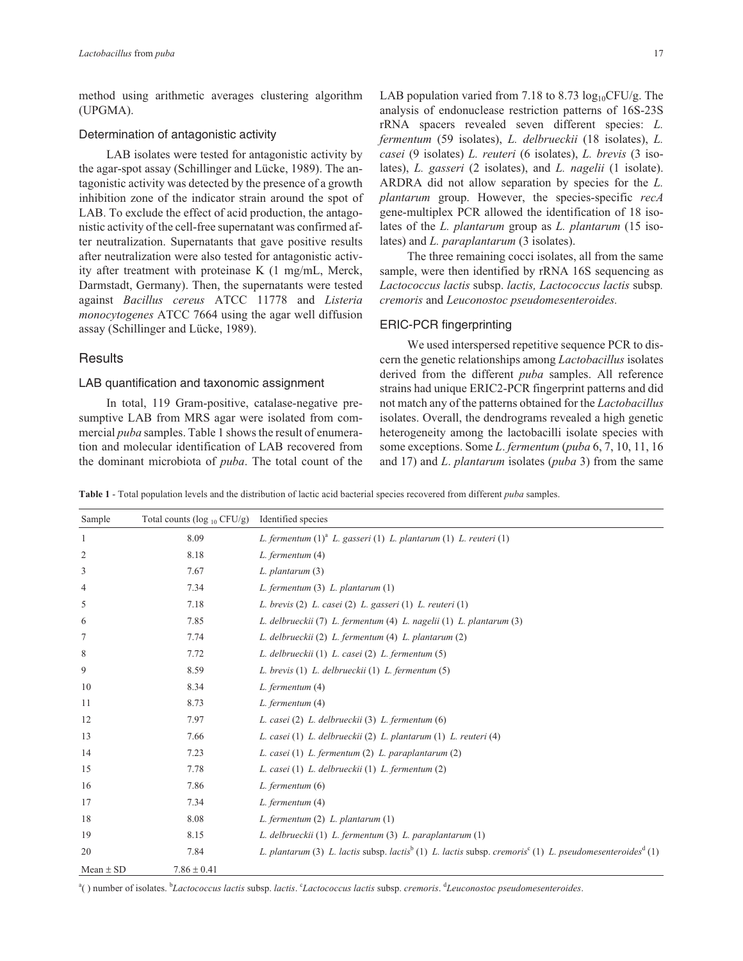method using arithmetic averages clustering algorithm (UPGMA).

#### Determination of antagonistic activity

LAB isolates were tested for antagonistic activity by the agar-spot assay (Schillinger and Lücke, 1989). The antagonistic activity was detected by the presence of a growth inhibition zone of the indicator strain around the spot of LAB. To exclude the effect of acid production, the antagonistic activity of the cell-free supernatant was confirmed after neutralization. Supernatants that gave positive results after neutralization were also tested for antagonistic activity after treatment with proteinase K (1 mg/mL, Merck, Darmstadt, Germany). Then, the supernatants were tested against *Bacillus cereus* ATCC 11778 and *Listeria monocytogenes* ATCC 7664 using the agar well diffusion assay (Schillinger and Lücke, 1989).

## **Results**

# LAB quantification and taxonomic assignment

In total, 119 Gram-positive, catalase-negative presumptive LAB from MRS agar were isolated from commercial *puba* samples. Table 1 shows the result of enumeration and molecular identification of LAB recovered from the dominant microbiota of *puba*. The total count of the

LAB population varied from 7.18 to 8.73  $log_{10}$ CFU/g. The analysis of endonuclease restriction patterns of 16S-23S rRNA spacers revealed seven different species: *L. fermentum* (59 isolates), *L. delbrueckii* (18 isolates), *L. casei* (9 isolates) *L. reuteri* (6 isolates), *L. brevis* (3 isolates), *L. gasseri* (2 isolates), and *L. nagelii* (1 isolate). ARDRA did not allow separation by species for the *L. plantarum* group. However, the species-specific *recA* gene-multiplex PCR allowed the identification of 18 isolates of the *L. plantarum* group as *L. plantarum* (15 isolates) and *L. paraplantarum* (3 isolates).

The three remaining cocci isolates, all from the same sample, were then identified by rRNA 16S sequencing as *Lactococcus lactis* subsp. *lactis, Lactococcus lactis* subsp*. cremoris* and *Leuconostoc pseudomesenteroides.*

## ERIC-PCR fingerprinting

We used interspersed repetitive sequence PCR to discern the genetic relationships among *Lactobacillus* isolates derived from the different *puba* samples. All reference strains had unique ERIC2-PCR fingerprint patterns and did not match any of the patterns obtained for the *Lactobacillus* isolates. Overall, the dendrograms revealed a high genetic heterogeneity among the lactobacilli isolate species with some exceptions. Some *L*. *fermentum* (*puba* 6, 7, 10, 11, 16 and 17) and *L*. *plantarum* isolates (*puba* 3) from the same

**Table 1** - Total population levels and the distribution of lactic acid bacterial species recovered from different *puba* samples.

| Sample        | Total counts ( $log_{10}$ CFU/g) | Identified species                                                                                                                           |
|---------------|----------------------------------|----------------------------------------------------------------------------------------------------------------------------------------------|
| $\mathbf{1}$  | 8.09                             | L. fermentum $(1)^{a}$ L. gasseri $(1)$ L. plantarum $(1)$ L. reuteri $(1)$                                                                  |
| 2             | 8.18                             | L. fermentum (4)                                                                                                                             |
| 3             | 7.67                             | L. plantarum (3)                                                                                                                             |
| 4             | 7.34                             | L. fermentum (3) L. plantarum (1)                                                                                                            |
| 5             | 7.18                             | L. brevis (2) L. casei (2) L. gasseri (1) L. reuteri (1)                                                                                     |
| 6             | 7.85                             | L. delbrueckii (7) L. fermentum (4) L. nagelii (1) L. plantarum (3)                                                                          |
| 7             | 7.74                             | L. delbrueckii (2) L. fermentum (4) L. plantarum (2)                                                                                         |
| 8             | 7.72                             | L. delbrueckii (1) L. casei (2) L. fermentum (5)                                                                                             |
| 9             | 8.59                             | L. brevis (1) L. delbrueckii (1) L. fermentum (5)                                                                                            |
| 10            | 8.34                             | L. fermentum (4)                                                                                                                             |
| 11            | 8.73                             | L. fermentum (4)                                                                                                                             |
| 12            | 7.97                             | L. casei (2) L. delbrueckii (3) L. fermentum (6)                                                                                             |
| 13            | 7.66                             | L. casei (1) L. delbrueckii (2) L. plantarum (1) L. reuteri (4)                                                                              |
| 14            | 7.23                             | L. casei (1) L. fermentum (2) L. paraplantarum (2)                                                                                           |
| 15            | 7.78                             | L. casei (1) L. delbrueckii (1) L. fermentum (2)                                                                                             |
| 16            | 7.86                             | L. fermentum (6)                                                                                                                             |
| 17            | 7.34                             | L. fermentum (4)                                                                                                                             |
| 18            | 8.08                             | L. fermentum (2) L. plantarum (1)                                                                                                            |
| 19            | 8.15                             | L. delbrueckii (1) L. fermentum (3) L. paraplantarum (1)                                                                                     |
| 20            | 7.84                             | L. plantarum (3) L. lactis subsp. lactis <sup>b</sup> (1) L. lactis subsp. cremoris <sup>c</sup> (1) L. pseudomesenteroides <sup>d</sup> (1) |
| Mean $\pm$ SD | $7.86 \pm 0.41$                  |                                                                                                                                              |

a ( ) number of isolates. <sup>b</sup> *Lactococcus lactis* subsp. *lactis*. <sup>c</sup> *Lactococcus lactis* subsp. *cremoris*. <sup>d</sup> *Leuconostoc pseudomesenteroides*.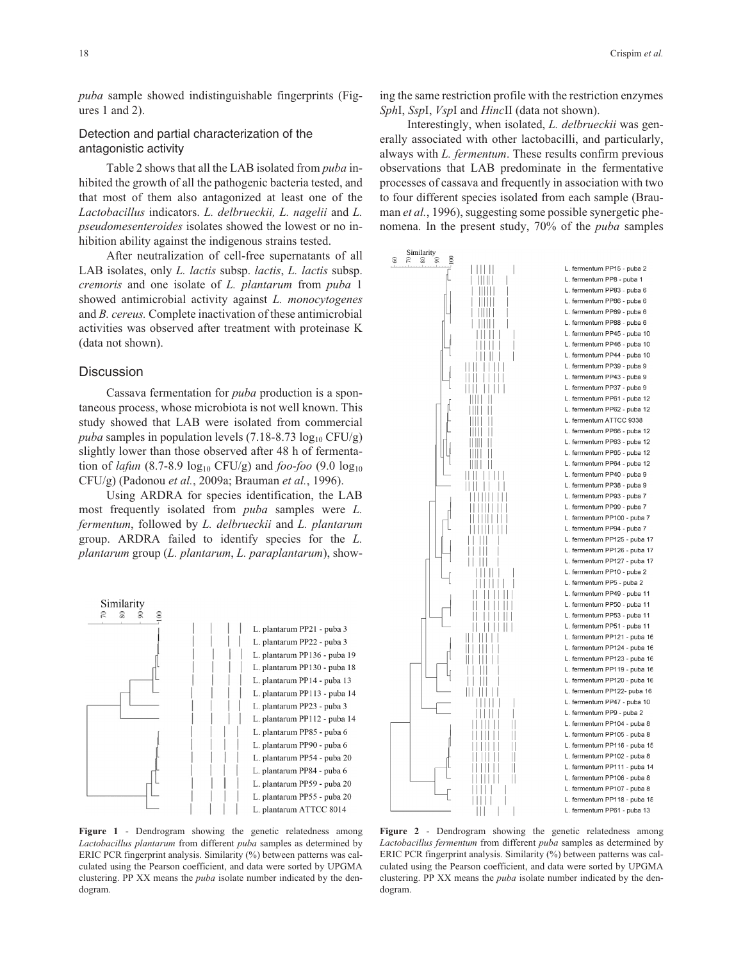# Detection and partial characterization of the antagonistic activity

Table 2 shows that all the LAB isolated from *puba* inhibited the growth of all the pathogenic bacteria tested, and that most of them also antagonized at least one of the *Lactobacillus* indicators. *L. delbrueckii, L. nagelii* and *L. pseudomesenteroides* isolates showed the lowest or no inhibition ability against the indigenous strains tested.

After neutralization of cell-free supernatants of all LAB isolates, only *L. lactis* subsp. *lactis*, *L. lactis* subsp. *cremoris* and one isolate of *L. plantarum* from *puba* 1 showed antimicrobial activity against *L. monocytogenes* and *B. cereus.* Complete inactivation of these antimicrobial activities was observed after treatment with proteinase K (data not shown).

## **Discussion**

Cassava fermentation for *puba* production is a spontaneous process, whose microbiota is not well known. This study showed that LAB were isolated from commercial *puba* samples in population levels  $(7.18-8.73 \log_{10} CFU/g)$ slightly lower than those observed after 48 h of fermentation of *lafun* (8.7-8.9  $log_{10}$  CFU/g) and *foo-foo* (9.0  $log_{10}$ ) CFU/g) (Padonou *et al.*, 2009a; Brauman *et al.*, 1996).

Using ARDRA for species identification, the LAB most frequently isolated from *puba* samples were *L. fermentum*, followed by *L. delbrueckii* and *L. plantarum* group. ARDRA failed to identify species for the *L. plantarum* group (*L. plantarum*, *L. paraplantarum*), show-



**Figure 1** - Dendrogram showing the genetic relatedness among *Lactobacillus plantarum* from different *puba* samples as determined by ERIC PCR fingerprint analysis. Similarity (%) between patterns was calculated using the Pearson coefficient, and data were sorted by UPGMA clustering. PP XX means the *puba* isolate number indicated by the dendogram.

ing the same restriction profile with the restriction enzymes *Sph*I, *Ssp*I, *Vsp*I and *Hinc*II (data not shown).

Interestingly, when isolated, *L. delbrueckii* was generally associated with other lactobacilli, and particularly, always with *L. fermentum*. These results confirm previous observations that LAB predominate in the fermentative processes of cassava and frequently in association with two to four different species isolated from each sample (Brauman *et al.*, 1996), suggesting some possible synergetic phenomena. In the present study, 70% of the *puba* samples



**Figure 2** - Dendrogram showing the genetic relatedness among *Lactobacillus fermentum* from different *puba* samples as determined by ERIC PCR fingerprint analysis. Similarity (%) between patterns was calculated using the Pearson coefficient, and data were sorted by UPGMA clustering. PP XX means the *puba* isolate number indicated by the dendogram.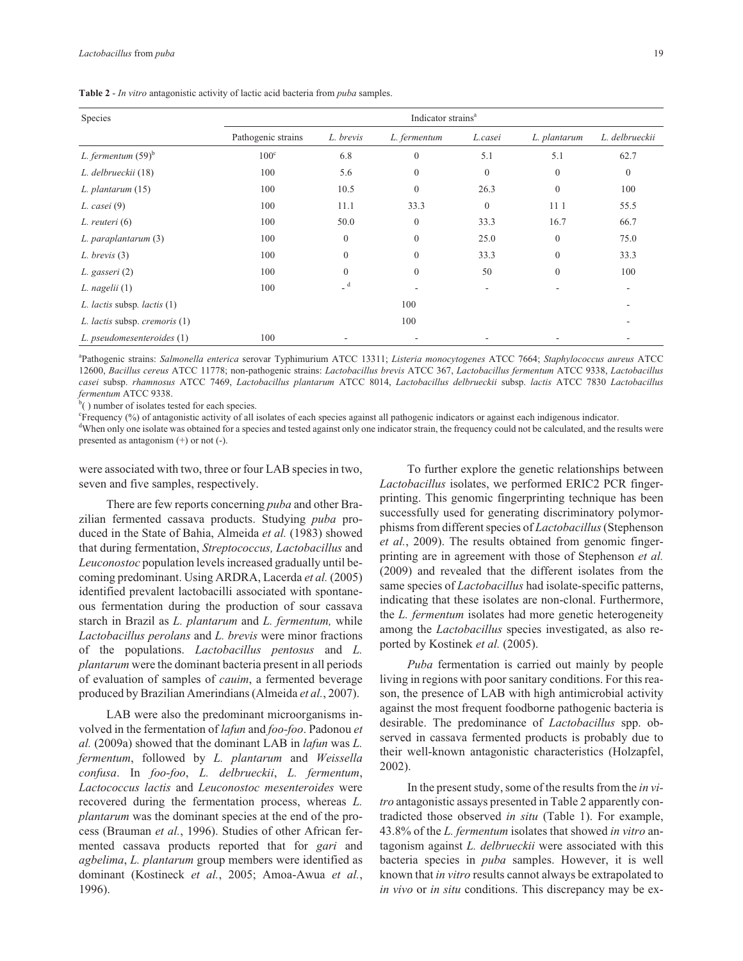| Species                       | Indicator strains <sup>a</sup> |                  |              |                          |              |                |  |
|-------------------------------|--------------------------------|------------------|--------------|--------------------------|--------------|----------------|--|
|                               | Pathogenic strains             | L. brevis        | L. fermentum | L.casei                  | L. plantarum | L. delbrueckii |  |
| L. fermentum $(59)^b$         | $100^{\circ}$                  | 6.8              | $\mathbf{0}$ | 5.1                      | 5.1          | 62.7           |  |
| L. delbrueckii (18)           | 100                            | 5.6              | $\mathbf{0}$ | $\mathbf{0}$             | $\Omega$     | $\mathbf{0}$   |  |
| $L.$ plantarum $(15)$         | 100                            | 10.5             | $\mathbf{0}$ | 26.3                     | $\mathbf{0}$ | 100            |  |
| $L. \; casei (9)$             | 100                            | 11.1             | 33.3         | $\mathbf{0}$             | 11 1         | 55.5           |  |
| L. reuteri (6)                | 100                            | 50.0             | $\mathbf{0}$ | 33.3                     | 16.7         | 66.7           |  |
| L. paraplantarum (3)          | 100                            | $\boldsymbol{0}$ | $\mathbf{0}$ | 25.0                     | $\mathbf{0}$ | 75.0           |  |
| $L.$ brevis $(3)$             | 100                            | $\mathbf{0}$     | $\Omega$     | 33.3                     | $\mathbf{0}$ | 33.3           |  |
| L. gasseri (2)                | 100                            | $\mathbf{0}$     | $\mathbf{0}$ | 50                       | $\mathbf{0}$ | 100            |  |
| $L.$ nagelii $(1)$            | 100                            | $-d$             |              | $\overline{\phantom{a}}$ |              |                |  |
| L. lactis subsp. lactis (1)   |                                |                  | 100          |                          |              |                |  |
| L. lactis subsp. cremoris (1) |                                |                  | 100          |                          |              |                |  |
| L. pseudomesenteroides (1)    | 100                            |                  |              |                          |              |                |  |

a Pathogenic strains: *Salmonella enterica* serovar Typhimurium ATCC 13311; *Listeria monocytogenes* ATCC 7664; *Staphylococcus aureus* ATCC 12600, *Bacillus cereus* ATCC 11778; non-pathogenic strains: *Lactobacillus brevis* ATCC 367, *Lactobacillus fermentum* ATCC 9338, *Lactobacillus casei* subsp. *rhamnosus* ATCC 7469, *Lactobacillus plantarum* ATCC 8014, *Lactobacillus delbrueckii* subsp. *lactis* ATCC 7830 *Lactobacillus fermentum* ATCC 9338.

 $b$ <sup>b</sup> $( )$  number of isolates tested for each species.

c Frequency (%) of antagonistic activity of all isolates of each species against all pathogenic indicators or against each indigenous indicator. <sup>d</sup>When only one isolate was obtained for a species and tested against only one indicator strain, the frequency could not be calculated, and the results were

presented as antagonism (+) or not (-).

were associated with two, three or four LAB species in two, seven and five samples, respectively.

There are few reports concerning *puba* and other Brazilian fermented cassava products. Studying *puba* produced in the State of Bahia, Almeida *et al.* (1983) showed that during fermentation, *Streptococcus, Lactobacillus* and *Leuconostoc* population levels increased gradually until becoming predominant. Using ARDRA, Lacerda *et al.* (2005) identified prevalent lactobacilli associated with spontaneous fermentation during the production of sour cassava starch in Brazil as *L. plantarum* and *L. fermentum,* while *Lactobacillus perolans* and *L. brevis* were minor fractions of the populations. *Lactobacillus pentosus* and *L. plantarum* were the dominant bacteria present in all periods of evaluation of samples of *cauim*, a fermented beverage produced by Brazilian Amerindians (Almeida *et al.*, 2007).

LAB were also the predominant microorganisms involved in the fermentation of *lafun* and *foo-foo*. Padonou *et al.* (2009a) showed that the dominant LAB in *lafun* was *L. fermentum*, followed by *L. plantarum* and *Weissella confusa*. In *foo-foo*, *L. delbrueckii*, *L. fermentum*, *Lactococcus lactis* and *Leuconostoc mesenteroides* were recovered during the fermentation process, whereas *L. plantarum* was the dominant species at the end of the process (Brauman *et al.*, 1996). Studies of other African fermented cassava products reported that for *gari* and *agbelima*, *L. plantarum* group members were identified as dominant (Kostineck *et al.*, 2005; Amoa-Awua *et al.*, 1996).

To further explore the genetic relationships between *Lactobacillus* isolates, we performed ERIC2 PCR fingerprinting. This genomic fingerprinting technique has been successfully used for generating discriminatory polymorphisms from different species of *Lactobacillus*(Stephenson *et al.*, 2009). The results obtained from genomic fingerprinting are in agreement with those of Stephenson *et al.* (2009) and revealed that the different isolates from the same species of *Lactobacillus* had isolate-specific patterns, indicating that these isolates are non-clonal. Furthermore, the *L. fermentum* isolates had more genetic heterogeneity among the *Lactobacillus* species investigated, as also reported by Kostinek *et al.* (2005).

*Puba* fermentation is carried out mainly by people living in regions with poor sanitary conditions. For this reason, the presence of LAB with high antimicrobial activity against the most frequent foodborne pathogenic bacteria is desirable. The predominance of *Lactobacillus* spp. observed in cassava fermented products is probably due to their well-known antagonistic characteristics (Holzapfel, 2002).

In the present study, some of the results from the *in vitro* antagonistic assays presented in Table 2 apparently contradicted those observed *in situ* (Table 1). For example, 43.8% of the *L. fermentum* isolates that showed *in vitro* antagonism against *L. delbrueckii* were associated with this bacteria species in *puba* samples. However, it is well known that *in vitro* results cannot always be extrapolated to *in vivo* or *in situ* conditions. This discrepancy may be ex-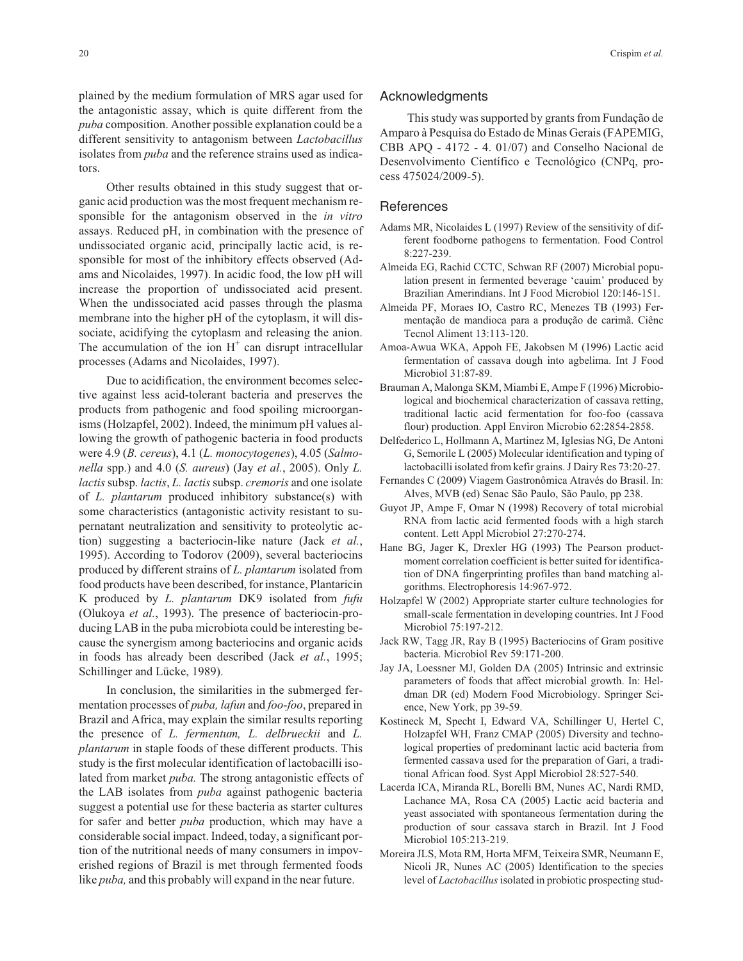plained by the medium formulation of MRS agar used for the antagonistic assay, which is quite different from the *puba* composition. Another possible explanation could be a different sensitivity to antagonism between *Lactobacillus* isolates from *puba* and the reference strains used as indicators.

Other results obtained in this study suggest that organic acid production was the most frequent mechanism responsible for the antagonism observed in the *in vitro* assays. Reduced pH, in combination with the presence of undissociated organic acid, principally lactic acid, is responsible for most of the inhibitory effects observed (Adams and Nicolaides, 1997). In acidic food, the low pH will increase the proportion of undissociated acid present. When the undissociated acid passes through the plasma membrane into the higher pH of the cytoplasm, it will dissociate, acidifying the cytoplasm and releasing the anion. The accumulation of the ion  $H^+$  can disrupt intracellular processes (Adams and Nicolaides, 1997).

Due to acidification, the environment becomes selective against less acid-tolerant bacteria and preserves the products from pathogenic and food spoiling microorganisms (Holzapfel, 2002). Indeed, the minimum pH values allowing the growth of pathogenic bacteria in food products were 4.9 (*B. cereus*), 4.1 (*L. monocytogenes*), 4.05 (*Salmonella* spp.) and 4.0 (*S. aureus*) (Jay *et al.*, 2005). Only *L. lactis*subsp. *lactis*, *L. lactis*subsp. *cremoris* and one isolate of *L. plantarum* produced inhibitory substance(s) with some characteristics (antagonistic activity resistant to supernatant neutralization and sensitivity to proteolytic action) suggesting a bacteriocin-like nature (Jack *et al.*, 1995). According to Todorov (2009), several bacteriocins produced by different strains of *L. plantarum* isolated from food products have been described, for instance, Plantaricin K produced by *L. plantarum* DK9 isolated from *fufu* (Olukoya *et al.*, 1993). The presence of bacteriocin-producing LAB in the puba microbiota could be interesting because the synergism among bacteriocins and organic acids in foods has already been described (Jack *et al.*, 1995; Schillinger and Lücke, 1989).

In conclusion, the similarities in the submerged fermentation processes of *puba, lafun* and *foo-foo*, prepared in Brazil and Africa, may explain the similar results reporting the presence of *L. fermentum, L. delbrueckii* and *L. plantarum* in staple foods of these different products. This study is the first molecular identification of lactobacilli isolated from market *puba.* The strong antagonistic effects of the LAB isolates from *puba* against pathogenic bacteria suggest a potential use for these bacteria as starter cultures for safer and better *puba* production, which may have a considerable social impact. Indeed, today, a significant portion of the nutritional needs of many consumers in impoverished regions of Brazil is met through fermented foods like *puba,* and this probably will expand in the near future.

#### Acknowledgments

This study was supported by grants from Fundação de Amparo à Pesquisa do Estado de Minas Gerais (FAPEMIG, CBB APQ - 4172 - 4. 01/07) and Conselho Nacional de Desenvolvimento Científico e Tecnológico (CNPq, process 475024/2009-5).

### **References**

- Adams MR, Nicolaides L (1997) Review of the sensitivity of different foodborne pathogens to fermentation. Food Control 8:227-239.
- Almeida EG, Rachid CCTC, Schwan RF (2007) Microbial population present in fermented beverage 'cauim' produced by Brazilian Amerindians. Int J Food Microbiol 120:146-151.
- Almeida PF, Moraes IO, Castro RC, Menezes TB (1993) Fermentação de mandioca para a produção de carimã. Ciênc Tecnol Aliment 13:113-120.
- Amoa-Awua WKA, Appoh FE, Jakobsen M (1996) Lactic acid fermentation of cassava dough into agbelima. Int J Food Microbiol 31:87-89.
- Brauman A, Malonga SKM, Miambi E, Ampe F (1996) Microbiological and biochemical characterization of cassava retting, traditional lactic acid fermentation for foo-foo (cassava flour) production. Appl Environ Microbio 62:2854-2858.
- Delfederico L, Hollmann A, Martinez M, Iglesias NG, De Antoni G, Semorile L (2005) Molecular identification and typing of lactobacilli isolated from kefir grains. J Dairy Res 73:20-27.
- Fernandes C (2009) Viagem Gastronômica Através do Brasil. In: Alves, MVB (ed) Senac São Paulo, São Paulo, pp 238.
- Guyot JP, Ampe F, Omar N (1998) Recovery of total microbial RNA from lactic acid fermented foods with a high starch content. Lett Appl Microbiol 27:270-274.
- Hane BG, Jager K, Drexler HG (1993) The Pearson productmoment correlation coefficient is better suited for identification of DNA fingerprinting profiles than band matching algorithms. Electrophoresis 14:967-972.
- Holzapfel W (2002) Appropriate starter culture technologies for small-scale fermentation in developing countries. Int J Food Microbiol 75:197-212.
- Jack RW, Tagg JR, Ray B (1995) Bacteriocins of Gram positive bacteria. Microbiol Rev 59:171-200.
- Jay JA, Loessner MJ, Golden DA (2005) Intrinsic and extrinsic parameters of foods that affect microbial growth. In: Heldman DR (ed) Modern Food Microbiology. Springer Science, New York, pp 39-59.
- Kostineck M, Specht I, Edward VA, Schillinger U, Hertel C, Holzapfel WH, Franz CMAP (2005) Diversity and technological properties of predominant lactic acid bacteria from fermented cassava used for the preparation of Gari, a traditional African food. Syst Appl Microbiol 28:527-540.
- Lacerda ICA, Miranda RL, Borelli BM, Nunes AC, Nardi RMD, Lachance MA, Rosa CA (2005) Lactic acid bacteria and yeast associated with spontaneous fermentation during the production of sour cassava starch in Brazil. Int J Food Microbiol 105:213-219.
- Moreira JLS, Mota RM, Horta MFM, Teixeira SMR, Neumann E, Nicoli JR, Nunes AC (2005) Identification to the species level of *Lactobacillus* isolated in probiotic prospecting stud-